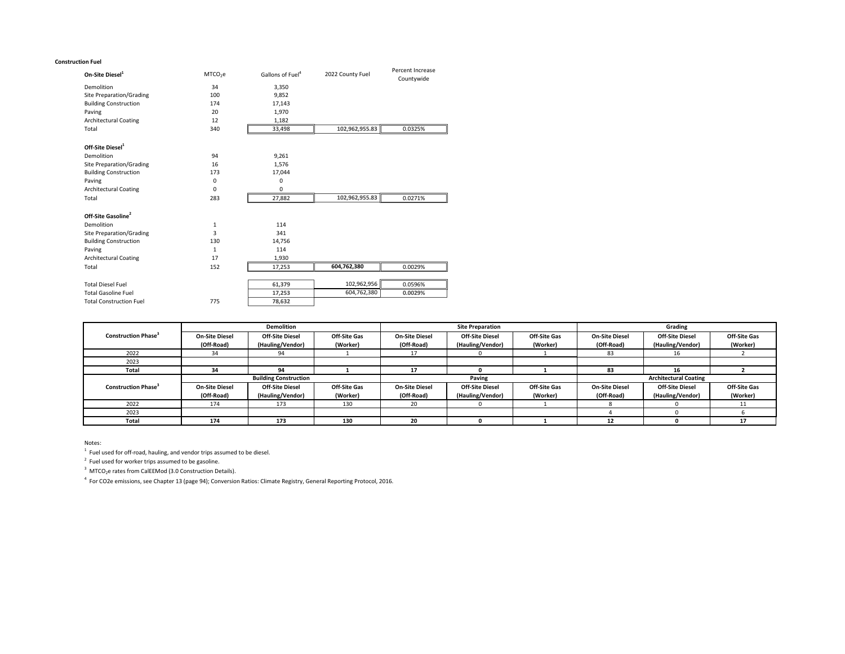#### **Construction Fuel**

| On-Site Diesel <sup>1</sup>     | MTCO <sub>2</sub> e | Gallons of Fuel <sup>4</sup> | 2022 County Fuel |            |
|---------------------------------|---------------------|------------------------------|------------------|------------|
| Demolition                      | 34                  | 3,350                        |                  | Countywide |
| <b>Site Preparation/Grading</b> | 100                 | 9,852                        |                  |            |
| <b>Building Construction</b>    | 174                 | 17,143                       |                  |            |
| Paving                          | 20                  | 1,970                        |                  |            |
| <b>Architectural Coating</b>    | 12                  | 1,182                        |                  |            |
| Total                           | 340                 | 33,498                       | 102,962,955.83   | 0.0325%    |
| Off-Site Diesel <sup>1</sup>    |                     |                              |                  |            |
| Demolition                      | 94                  | 9,261                        |                  |            |
| <b>Site Preparation/Grading</b> | 16                  | 1,576                        |                  |            |
| <b>Building Construction</b>    | 173                 | 17,044                       |                  |            |
| Paving                          | 0                   | 0                            |                  |            |
| <b>Architectural Coating</b>    | 0                   | 0                            |                  |            |
| Total                           | 283                 | 27,882                       | 102,962,955.83   | 0.0271%    |
| Off-Site Gasoline <sup>2</sup>  |                     |                              |                  |            |
| Demolition                      | 1                   | 114                          |                  |            |
| <b>Site Preparation/Grading</b> | 3                   | 341                          |                  |            |
| <b>Building Construction</b>    | 130                 | 14,756                       |                  |            |
| Paving                          | $\mathbf{1}$        | 114                          |                  |            |
| <b>Architectural Coating</b>    | 17                  | 1,930                        |                  |            |
| Total                           | 152                 | 17,253                       | 604,762,380      | 0.0029%    |
| <b>Total Diesel Fuel</b>        |                     | 61,379                       | 102,962,956      | 0.0596%    |
| <b>Total Gasoline Fuel</b>      |                     | 17,253                       | 604,762,380      | 0.0029%    |
| <b>Total Construction Fuel</b>  | 775                 | 78,632                       |                  |            |
|                                 |                     |                              |                  |            |

| <b>Demolition</b>                      |                              |                        |                     | <b>Site Preparation</b> |                              |                     | Grading               |                        |                     |
|----------------------------------------|------------------------------|------------------------|---------------------|-------------------------|------------------------------|---------------------|-----------------------|------------------------|---------------------|
| <b>Construction Phase</b> <sup>3</sup> | <b>On-Site Diesel</b>        | <b>Off-Site Diesel</b> | <b>Off-Site Gas</b> | <b>On-Site Diesel</b>   | <b>Off-Site Diesel</b>       | <b>Off-Site Gas</b> | <b>On-Site Diesel</b> | <b>Off-Site Diesel</b> | <b>Off-Site Gas</b> |
|                                        | (Off-Road)                   | (Hauling/Vendor)       | (Worker)            | (Off-Road)              | (Hauling/Vendor)             | (Worker)            | (Off-Road)            | (Hauling/Vendor)       | (Worker)            |
| 2022                                   | 34                           | 94                     |                     |                         |                              |                     | 83                    | ΤO                     |                     |
| 2023                                   |                              |                        |                     |                         |                              |                     |                       |                        |                     |
| <b>Total</b>                           | 34                           | 94                     |                     | 17                      |                              |                     | 83                    | $\overline{ }$<br>TР   |                     |
|                                        | <b>Building Construction</b> |                        | Paving              |                         | <b>Architectural Coating</b> |                     |                       |                        |                     |
| <b>Construction Phase</b> <sup>3</sup> | <b>On-Site Diesel</b>        | <b>Off-Site Diesel</b> | <b>Off-Site Gas</b> | <b>On-Site Diesel</b>   | <b>Off-Site Diesel</b>       | <b>Off-Site Gas</b> | <b>On-Site Diesel</b> | <b>Off-Site Diesel</b> | <b>Off-Site Gas</b> |
|                                        | (Off-Road)                   | (Hauling/Vendor)       | (Worker)            | (Off-Road)              | (Hauling/Vendor)             | (Worker)            | (Off-Road)            | (Hauling/Vendor)       | (Worker)            |
| 2022                                   | 174                          | 173                    | 130                 | 20                      |                              |                     |                       |                        |                     |
| 2023                                   |                              |                        |                     |                         |                              |                     |                       |                        |                     |
| <b>Total</b>                           | 174                          | 173                    | 130                 | 20                      |                              |                     | 12                    |                        | 17                  |

Notes:

 $1$  Fuel used for off-road, hauling, and vendor trips assumed to be diesel.

 $2$  Fuel used for worker trips assumed to be gasoline.

 $3$  MTCO<sub>2</sub>e rates from CalEEMod (3.0 Construction Details).

<sup>4</sup> For CO2e emissions, see Chapter 13 (page 94); Conversion Ratios: Climate Registry, General Reporting Protocol, 2016.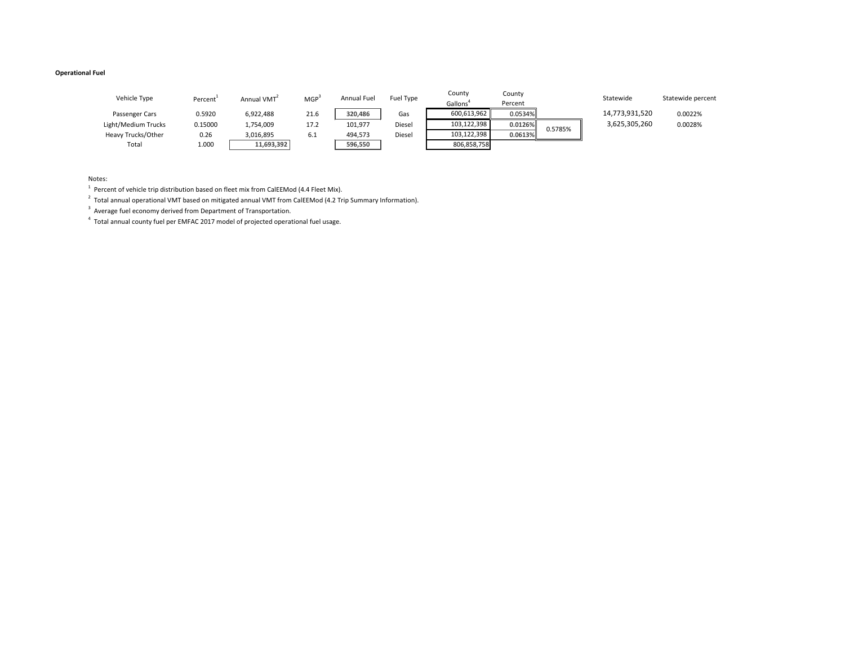# **Operational Fuel**

| Statewide      | Statewide percent |
|----------------|-------------------|
| 14,773,931,520 | 0.0022%           |

| Vehicle Type              | Percent | Annual VMT <sup>2</sup> | MGP <sup>3</sup> | <b>Annual Fuel</b> | Fuel Type | County<br>Gallons <sup>4</sup> | County<br>Percent |         | Statewide      | Statewide pe |
|---------------------------|---------|-------------------------|------------------|--------------------|-----------|--------------------------------|-------------------|---------|----------------|--------------|
| Passenger Cars            | 0.5920  | 6,922,488               | 21.6             | 320,486            | Gas       | 600,613,962                    | $0.0534\%$        |         | 14,773,931,520 | 0.0022%      |
| Light/Medium Trucks       | 0.15000 | 1,754,009               | 17.2             | 101,977            | Diesel    | 103,122,398                    | $0.0126\%$        |         | 3,625,305,260  | 0.0028%      |
| <b>Heavy Trucks/Other</b> | 0.26    | 3,016,895               | 6.1              | 494,573            | Diesel    | 103,122,398                    | 0.0613%           | 0.5785% |                |              |
| Total                     | 1.000   | 11,693,392              |                  | 596,550            |           | 806,858,758                    |                   |         |                |              |

Notes:

 $1$  Percent of vehicle trip distribution based on fleet mix from CalEEMod (4.4 Fleet Mix).

 $^{2}$  Total annual operational VMT based on mitigated annual VMT from CalEEMod (4.2 Trip Summary Information).

 $3$  Average fuel economy derived from Department of Transportation.

 $4$  Total annual county fuel per EMFAC 2017 model of projected operational fuel usage.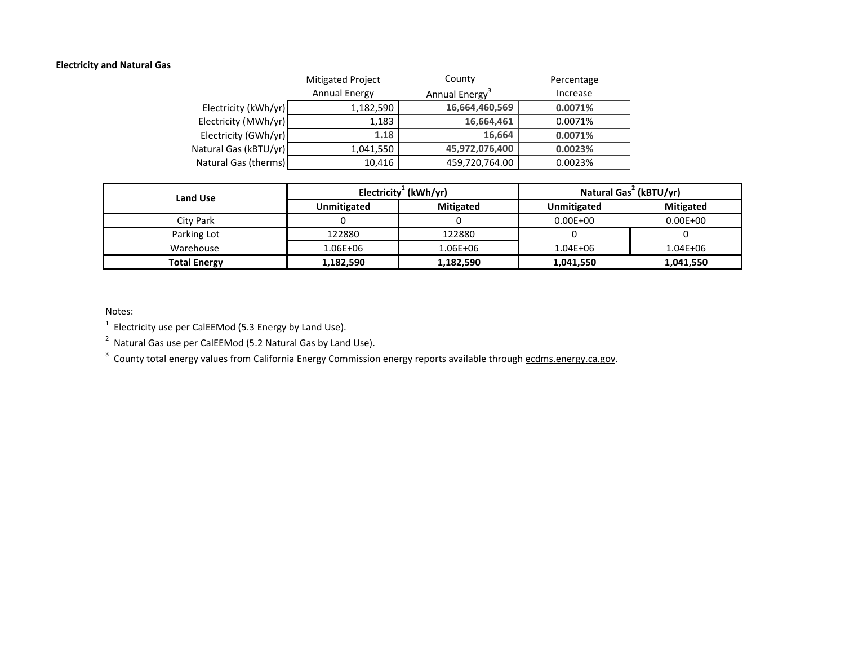## **Electricity and Natural Gas**

|                       | Mitigated Project    | County                     | Percentage |
|-----------------------|----------------------|----------------------------|------------|
|                       | <b>Annual Energy</b> | Annual Energy <sup>3</sup> | Increase   |
| Electricity (kWh/yr)  | 1,182,590            | 16,664,460,569             | 0.0071%    |
| Electricity (MWh/yr)  | 1,183                | 16,664,461                 | 0.0071%    |
| Electricity (GWh/yr)  | 1.18                 | 16,664                     | 0.0071%    |
| Natural Gas (kBTU/yr) | 1,041,550            | 45,972,076,400             | 0.0023%    |
| Natural Gas (therms)  | 10,416               | 459,720,764.00             | 0.0023%    |

| <b>Land Use</b>     |                    | Electricity <sup>1</sup> (kWh/yr) | Natural Gas <sup>2</sup> (kBTU/yr) |                  |  |
|---------------------|--------------------|-----------------------------------|------------------------------------|------------------|--|
|                     | <b>Unmitigated</b> | <b>Mitigated</b>                  | Unmitigated                        | <b>Mitigated</b> |  |
| City Park           |                    |                                   | $0.00E + 00$                       | $0.00E + 00$     |  |
| Parking Lot         | 122880             | 122880                            |                                    |                  |  |
| Warehouse           | 1.06E+06           | 1.06E+06                          | $1.04E + 06$                       | $1.04E + 06$     |  |
| <b>Total Energy</b> | 1,182,590          | 1,182,590                         | 1,041,550                          | 1,041,550        |  |

Notes:

 $1$  Electricity use per CalEEMod (5.3 Energy by Land Use).

 $2$  Natural Gas use per CalEEMod (5.2 Natural Gas by Land Use).

<sup>3</sup> County total energy values from California Energy Commission energy reports available through ecdms.energy.ca.gov.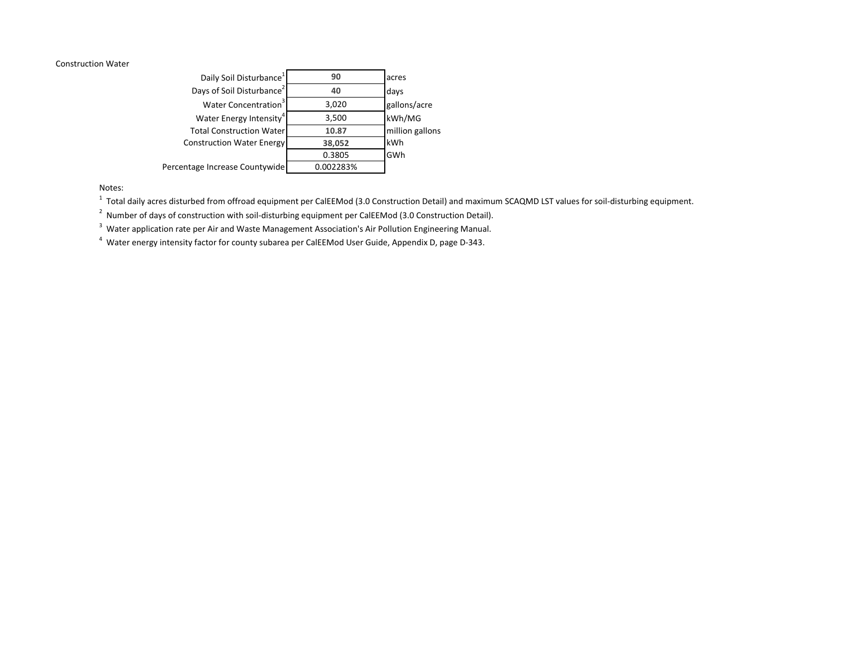#### Construction Water

| Daily Soil Disturbance <sup>1</sup>   | 90        | acres           |
|---------------------------------------|-----------|-----------------|
| Days of Soil Disturbance <sup>2</sup> | 40        | days            |
| Water Concentration <sup>3</sup>      | 3,020     | gallons/acre    |
| Water Energy Intensity <sup>4</sup>   | 3,500     | kWh/MG          |
| <b>Total Construction Water</b>       | 10.87     | million gallons |
| <b>Construction Water Energy</b>      | 38,052    | kWh             |
|                                       | 0.3805    | GWh             |
| Percentage Increase Countywide        | 0.002283% |                 |

Notes:

 $^1$  Total daily acres disturbed from offroad equipment per CalEEMod (3.0 Construction Detail) and maximum SCAQMD LST values for soil-disturbing equipment.

 $2$  Number of days of construction with soil-disturbing equipment per CalEEMod (3.0 Construction Detail).

<sup>3</sup> Water application rate per Air and Waste Management Association's Air Pollution Engineering Manual.

<sup>4</sup> Water energy intensity factor for county subarea per CalEEMod User Guide, Appendix D, page D-343.